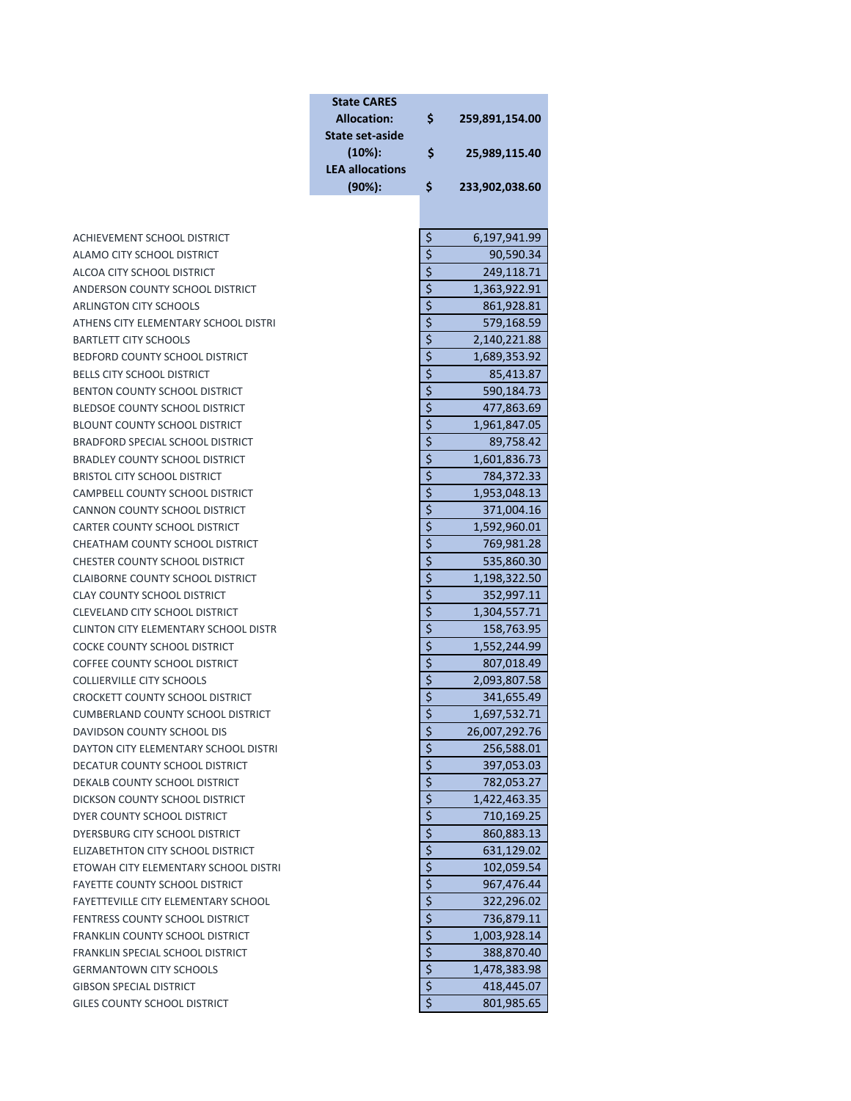|                                          | <b>State CARES</b>     |                                     |                |  |
|------------------------------------------|------------------------|-------------------------------------|----------------|--|
|                                          | <b>Allocation:</b>     | \$                                  | 259,891,154.00 |  |
|                                          | <b>State set-aside</b> |                                     |                |  |
|                                          | (10%):                 | \$                                  | 25,989,115.40  |  |
|                                          | <b>LEA allocations</b> |                                     |                |  |
|                                          | (90%):                 | \$                                  | 233,902,038.60 |  |
|                                          |                        |                                     |                |  |
|                                          |                        |                                     |                |  |
| ACHIEVEMENT SCHOOL DISTRICT              |                        | \$                                  | 6,197,941.99   |  |
| ALAMO CITY SCHOOL DISTRICT               |                        | $\overline{\varsigma}$              | 90,590.34      |  |
| ALCOA CITY SCHOOL DISTRICT               |                        | $\overline{\mathcal{L}}$            | 249,118.71     |  |
| ANDERSON COUNTY SCHOOL DISTRICT          |                        | $\overline{\varsigma}$              | 1,363,922.91   |  |
| ARLINGTON CITY SCHOOLS                   |                        | \$                                  | 861,928.81     |  |
| ATHENS CITY ELEMENTARY SCHOOL DISTRI     |                        | \$                                  | 579,168.59     |  |
| <b>BARTLETT CITY SCHOOLS</b>             |                        | \$                                  | 2,140,221.88   |  |
| BEDFORD COUNTY SCHOOL DISTRICT           |                        | \$                                  | 1,689,353.92   |  |
| <b>BELLS CITY SCHOOL DISTRICT</b>        |                        | \$                                  | 85,413.87      |  |
| BENTON COUNTY SCHOOL DISTRICT            |                        | \$                                  | 590,184.73     |  |
| BLEDSOE COUNTY SCHOOL DISTRICT           |                        | \$                                  | 477,863.69     |  |
| <b>BLOUNT COUNTY SCHOOL DISTRICT</b>     |                        | \$                                  | 1,961,847.05   |  |
| BRADFORD SPECIAL SCHOOL DISTRICT         |                        | $\overline{\boldsymbol{\varsigma}}$ | 89,758.42      |  |
| <b>BRADLEY COUNTY SCHOOL DISTRICT</b>    |                        | $\overline{\mathsf{S}}$             | 1,601,836.73   |  |
| <b>BRISTOL CITY SCHOOL DISTRICT</b>      |                        | $\overline{\varsigma}$              | 784,372.33     |  |
| CAMPBELL COUNTY SCHOOL DISTRICT          |                        | $\overline{\xi}$                    | 1,953,048.13   |  |
| CANNON COUNTY SCHOOL DISTRICT            |                        | $\overline{\varsigma}$              | 371,004.16     |  |
| CARTER COUNTY SCHOOL DISTRICT            |                        | $\overline{\xi}$                    | 1,592,960.01   |  |
| CHEATHAM COUNTY SCHOOL DISTRICT          |                        | $\overline{\xi}$                    | 769,981.28     |  |
| CHESTER COUNTY SCHOOL DISTRICT           |                        | $\overline{\boldsymbol{\varsigma}}$ | 535,860.30     |  |
| <b>CLAIBORNE COUNTY SCHOOL DISTRICT</b>  |                        | $\overline{\xi}$                    | 1,198,322.50   |  |
| <b>CLAY COUNTY SCHOOL DISTRICT</b>       |                        | $\overline{\xi}$                    | 352,997.11     |  |
| CLEVELAND CITY SCHOOL DISTRICT           |                        | $\overline{\xi}$                    | 1,304,557.71   |  |
| CLINTON CITY ELEMENTARY SCHOOL DISTR     |                        | $\overline{\xi}$                    | 158,763.95     |  |
| COCKE COUNTY SCHOOL DISTRICT             |                        | $\overline{\xi}$                    | 1,552,244.99   |  |
| COFFEE COUNTY SCHOOL DISTRICT            |                        | $\overline{\xi}$                    | 807,018.49     |  |
| <b>COLLIERVILLE CITY SCHOOLS</b>         |                        | $\overline{\xi}$                    | 2,093,807.58   |  |
| CROCKETT COUNTY SCHOOL DISTRICT          |                        | $\overline{\xi}$                    | 341,655.49     |  |
| <b>CUMBERLAND COUNTY SCHOOL DISTRICT</b> |                        | $\overline{\boldsymbol{\zeta}}$     | 1,697,532.71   |  |
| DAVIDSON COUNTY SCHOOL DIS               |                        | \$                                  | 26,007,292.76  |  |
| DAYTON CITY ELEMENTARY SCHOOL DISTRI     |                        | \$                                  | 256,588.01     |  |
| DECATUR COUNTY SCHOOL DISTRICT           |                        | \$                                  | 397,053.03     |  |
| DEKALB COUNTY SCHOOL DISTRICT            |                        | \$                                  | 782,053.27     |  |
| DICKSON COUNTY SCHOOL DISTRICT           |                        | \$                                  | 1,422,463.35   |  |
| DYER COUNTY SCHOOL DISTRICT              |                        | \$                                  | 710,169.25     |  |
| DYERSBURG CITY SCHOOL DISTRICT           |                        | \$                                  | 860,883.13     |  |
| ELIZABETHTON CITY SCHOOL DISTRICT        |                        | \$                                  | 631,129.02     |  |
| ETOWAH CITY ELEMENTARY SCHOOL DISTRI     |                        | \$                                  | 102,059.54     |  |
| FAYETTE COUNTY SCHOOL DISTRICT           |                        | \$                                  | 967,476.44     |  |
| FAYETTEVILLE CITY ELEMENTARY SCHOOL      |                        | \$                                  | 322,296.02     |  |
| FENTRESS COUNTY SCHOOL DISTRICT          |                        | $\overline{\varsigma}$              | 736,879.11     |  |
| FRANKLIN COUNTY SCHOOL DISTRICT          |                        | \$                                  | 1,003,928.14   |  |
| FRANKLIN SPECIAL SCHOOL DISTRICT         |                        | \$                                  | 388,870.40     |  |
| <b>GERMANTOWN CITY SCHOOLS</b>           |                        | $\overline{\xi}$                    | 1,478,383.98   |  |
| <b>GIBSON SPECIAL DISTRICT</b>           |                        | $\overline{\xi}$                    | 418,445.07     |  |
| GILES COUNTY SCHOOL DISTRICT             |                        | $\overline{\xi}$                    | 801,985.65     |  |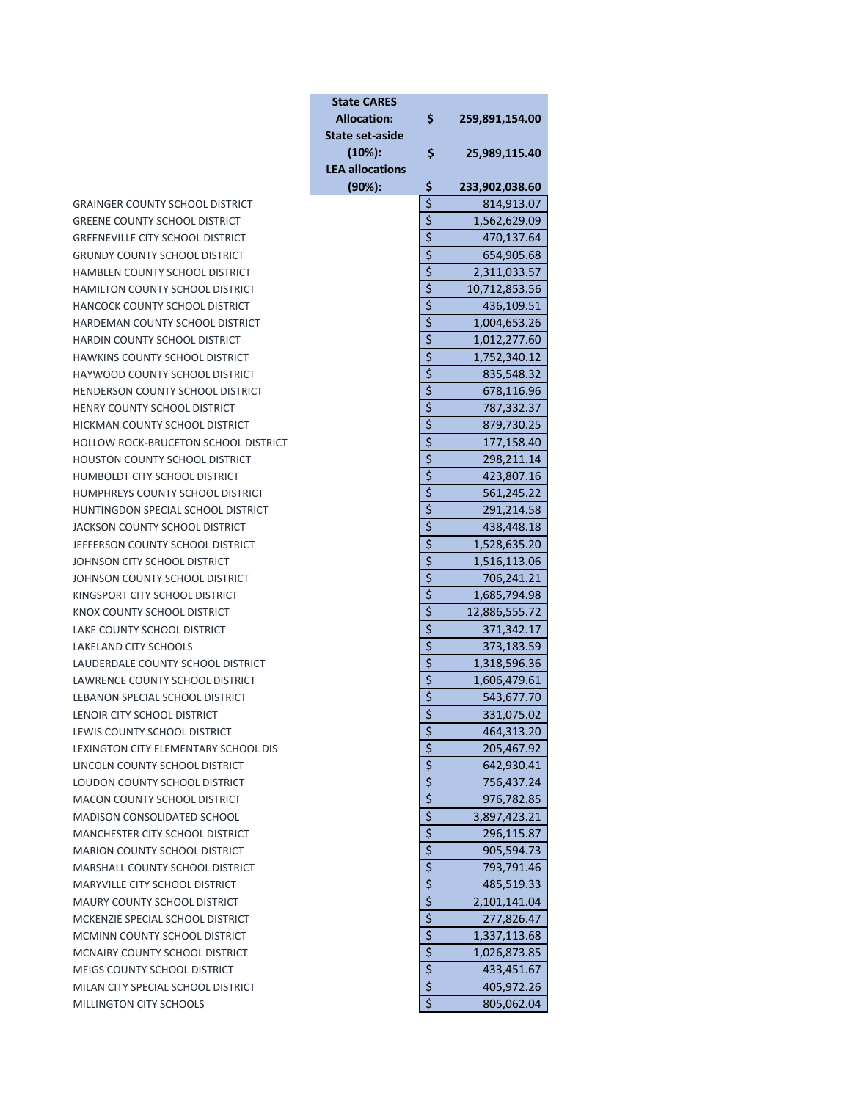|                                             | <b>State CARES</b>     |                                     |                |
|---------------------------------------------|------------------------|-------------------------------------|----------------|
|                                             | <b>Allocation:</b>     | \$                                  | 259,891,154.00 |
|                                             | <b>State set-aside</b> |                                     |                |
|                                             | $(10\%)$ :             | \$                                  | 25,989,115.40  |
|                                             | <b>LEA allocations</b> |                                     |                |
|                                             | (90%):                 | \$                                  | 233,902,038.60 |
| <b>GRAINGER COUNTY SCHOOL DISTRICT</b>      |                        | $\overline{\boldsymbol{\varsigma}}$ | 814,913.07     |
| <b>GREENE COUNTY SCHOOL DISTRICT</b>        |                        | $\overline{\boldsymbol{\zeta}}$     | 1,562,629.09   |
| <b>GREENEVILLE CITY SCHOOL DISTRICT</b>     |                        | $\overline{\mathsf{S}}$             | 470,137.64     |
| <b>GRUNDY COUNTY SCHOOL DISTRICT</b>        |                        | $\overline{\mathcal{L}}$            | 654,905.68     |
| HAMBLEN COUNTY SCHOOL DISTRICT              |                        | $\overline{\xi}$                    | 2,311,033.57   |
| <b>HAMILTON COUNTY SCHOOL DISTRICT</b>      |                        | $\overline{\boldsymbol{\varsigma}}$ | 10,712,853.56  |
| HANCOCK COUNTY SCHOOL DISTRICT              |                        | $\overline{\xi}$                    | 436,109.51     |
| HARDEMAN COUNTY SCHOOL DISTRICT             |                        | $\overline{\varsigma}$              | 1,004,653.26   |
| HARDIN COUNTY SCHOOL DISTRICT               |                        | \$                                  | 1,012,277.60   |
| <b>HAWKINS COUNTY SCHOOL DISTRICT</b>       |                        | $\overline{\xi}$                    | 1,752,340.12   |
| <b>HAYWOOD COUNTY SCHOOL DISTRICT</b>       |                        | $\overline{\xi}$                    | 835,548.32     |
| HENDERSON COUNTY SCHOOL DISTRICT            |                        | $\overline{\xi}$                    | 678,116.96     |
| HENRY COUNTY SCHOOL DISTRICT                |                        | $\overline{\xi}$                    | 787,332.37     |
| HICKMAN COUNTY SCHOOL DISTRICT              |                        | \$                                  | 879,730.25     |
| <b>HOLLOW ROCK-BRUCETON SCHOOL DISTRICT</b> |                        | $\overline{\boldsymbol{\varsigma}}$ | 177,158.40     |
| <b>HOUSTON COUNTY SCHOOL DISTRICT</b>       |                        | $\overline{\boldsymbol{\varsigma}}$ | 298,211.14     |
| HUMBOLDT CITY SCHOOL DISTRICT               |                        | $\overline{\xi}$                    | 423,807.16     |
| HUMPHREYS COUNTY SCHOOL DISTRICT            |                        | $\overline{\xi}$                    | 561,245.22     |
| HUNTINGDON SPECIAL SCHOOL DISTRICT          |                        | $\overline{\xi}$                    | 291,214.58     |
| JACKSON COUNTY SCHOOL DISTRICT              |                        | $\overline{\xi}$                    | 438,448.18     |
| JEFFERSON COUNTY SCHOOL DISTRICT            |                        | \$                                  | 1,528,635.20   |
| JOHNSON CITY SCHOOL DISTRICT                |                        | \$                                  | 1,516,113.06   |
| JOHNSON COUNTY SCHOOL DISTRICT              |                        | \$                                  | 706,241.21     |
| KINGSPORT CITY SCHOOL DISTRICT              |                        | \$                                  | 1,685,794.98   |
| KNOX COUNTY SCHOOL DISTRICT                 |                        | $\overline{\mathsf{S}}$             | 12,886,555.72  |
| LAKE COUNTY SCHOOL DISTRICT                 |                        | \$                                  | 371,342.17     |
| <b>LAKELAND CITY SCHOOLS</b>                |                        | $\overline{\boldsymbol{\zeta}}$     | 373,183.59     |
| LAUDERDALE COUNTY SCHOOL DISTRICT           |                        | \$                                  | 1,318,596.36   |
| LAWRENCE COUNTY SCHOOL DISTRICT             |                        | \$                                  | 1,606,479.61   |
| LEBANON SPECIAL SCHOOL DISTRICT             |                        | $\overline{\xi}$                    | 543,677.70     |
| LENOIR CITY SCHOOL DISTRICT                 |                        | $\overline{\varsigma}$              | 331,075.02     |
| LEWIS COUNTY SCHOOL DISTRICT                |                        | \$                                  | 464,313.20     |
| LEXINGTON CITY ELEMENTARY SCHOOL DIS        |                        | $\overline{\xi}$                    | 205,467.92     |
| LINCOLN COUNTY SCHOOL DISTRICT              |                        | $\overline{\xi}$                    | 642,930.41     |
| LOUDON COUNTY SCHOOL DISTRICT               |                        | \$                                  | 756,437.24     |
| <b>MACON COUNTY SCHOOL DISTRICT</b>         |                        | $\zeta$                             | 976,782.85     |
| MADISON CONSOLIDATED SCHOOL                 |                        | $\overline{\xi}$                    | 3,897,423.21   |
| <b>MANCHESTER CITY SCHOOL DISTRICT</b>      |                        | $\overline{\xi}$                    | 296,115.87     |
| <b>MARION COUNTY SCHOOL DISTRICT</b>        |                        | $\overline{\xi}$                    | 905,594.73     |
| MARSHALL COUNTY SCHOOL DISTRICT             |                        | $\overline{\xi}$                    | 793,791.46     |
| MARYVILLE CITY SCHOOL DISTRICT              |                        | $\zeta$                             | 485,519.33     |
| <b>MAURY COUNTY SCHOOL DISTRICT</b>         |                        | $\overline{\xi}$                    | 2,101,141.04   |
| MCKENZIE SPECIAL SCHOOL DISTRICT            |                        | $\overline{\xi}$                    | 277,826.47     |
| MCMINN COUNTY SCHOOL DISTRICT               |                        | $\overline{\xi}$                    | 1,337,113.68   |
| MCNAIRY COUNTY SCHOOL DISTRICT              |                        | $\overline{\mathcal{L}}$            | 1,026,873.85   |
| MEIGS COUNTY SCHOOL DISTRICT                |                        | $\overline{\mathcal{L}}$            | 433,451.67     |
| MILAN CITY SPECIAL SCHOOL DISTRICT          |                        | \$                                  | 405,972.26     |
| MILLINGTON CITY SCHOOLS                     |                        | \$                                  | 805,062.04     |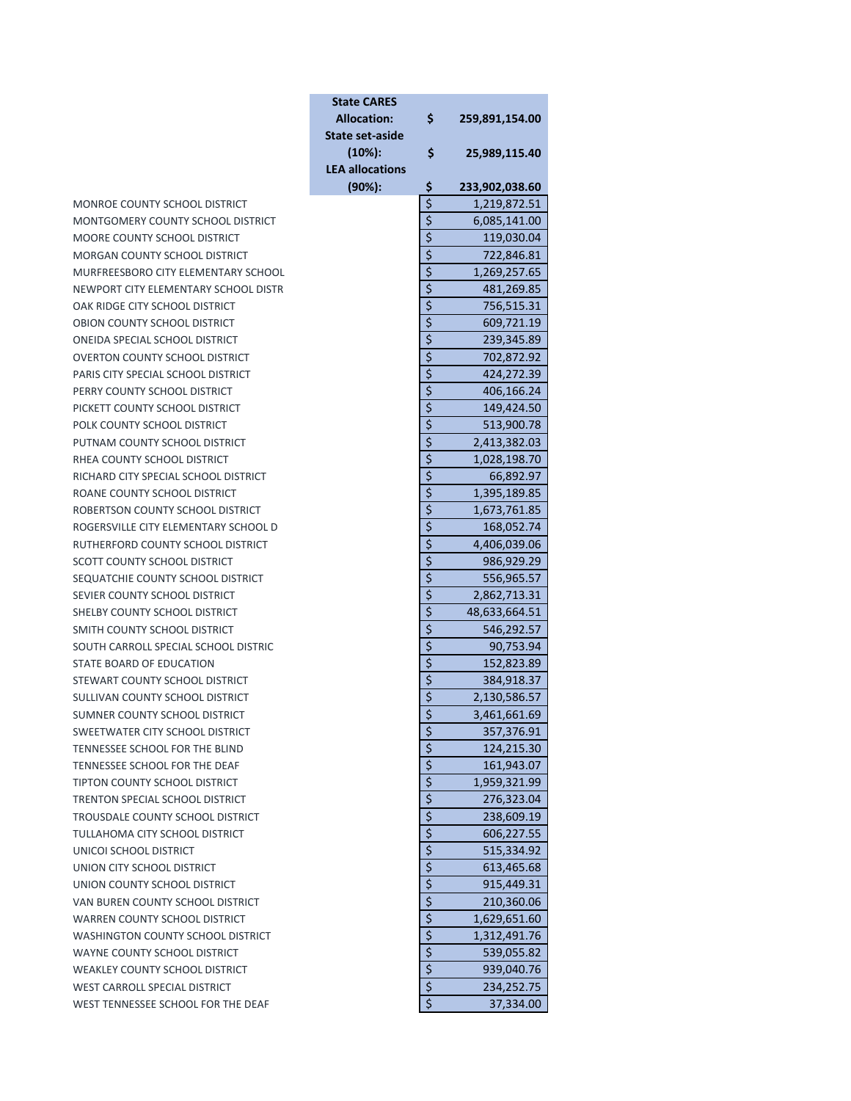|                                                                     | <b>State CARES</b>     |                                     |                         |
|---------------------------------------------------------------------|------------------------|-------------------------------------|-------------------------|
|                                                                     | <b>Allocation:</b>     | \$                                  | 259,891,154.00          |
|                                                                     | <b>State set-aside</b> |                                     |                         |
|                                                                     | $(10\%)$ :             | \$                                  | 25,989,115.40           |
|                                                                     | <b>LEA allocations</b> |                                     |                         |
|                                                                     | (90%):                 | \$                                  | 233,902,038.60          |
| MONROE COUNTY SCHOOL DISTRICT                                       |                        | \$                                  | 1,219,872.51            |
| MONTGOMERY COUNTY SCHOOL DISTRICT                                   |                        | $\overline{\xi}$                    | 6,085,141.00            |
| MOORE COUNTY SCHOOL DISTRICT                                        |                        | $\overline{\xi}$                    | 119,030.04              |
| <b>MORGAN COUNTY SCHOOL DISTRICT</b>                                |                        | $\overline{\xi}$                    | 722,846.81              |
| MURFREESBORO CITY ELEMENTARY SCHOOL                                 |                        | $\overline{\xi}$                    | 1,269,257.65            |
| NEWPORT CITY ELEMENTARY SCHOOL DISTR                                |                        | $\overline{\xi}$                    | 481,269.85              |
| OAK RIDGE CITY SCHOOL DISTRICT                                      |                        | $\overline{\xi}$                    | 756,515.31              |
| OBION COUNTY SCHOOL DISTRICT                                        |                        | $\overline{\xi}$                    | 609,721.19              |
| ONEIDA SPECIAL SCHOOL DISTRICT                                      |                        | $\overline{\boldsymbol{\zeta}}$     | 239,345.89              |
| OVERTON COUNTY SCHOOL DISTRICT                                      |                        | $\overline{\xi}$                    | 702,872.92              |
| PARIS CITY SPECIAL SCHOOL DISTRICT                                  |                        | $\overline{\xi}$                    | 424,272.39              |
| PERRY COUNTY SCHOOL DISTRICT                                        |                        | $\overline{\xi}$                    | 406,166.24              |
| PICKETT COUNTY SCHOOL DISTRICT                                      |                        | $\overline{\boldsymbol{\varsigma}}$ | 149,424.50              |
| POLK COUNTY SCHOOL DISTRICT                                         |                        | $\overline{\boldsymbol{\varsigma}}$ | 513,900.78              |
| PUTNAM COUNTY SCHOOL DISTRICT                                       |                        | \$                                  | 2,413,382.03            |
| RHEA COUNTY SCHOOL DISTRICT                                         |                        | \$                                  | 1,028,198.70            |
| RICHARD CITY SPECIAL SCHOOL DISTRICT                                |                        | \$                                  | 66,892.97               |
| ROANE COUNTY SCHOOL DISTRICT                                        |                        | $\overline{\boldsymbol{\zeta}}$     | 1,395,189.85            |
| ROBERTSON COUNTY SCHOOL DISTRICT                                    |                        | $\overline{\boldsymbol{\zeta}}$     | 1,673,761.85            |
| ROGERSVILLE CITY ELEMENTARY SCHOOL D                                |                        | $\overline{\boldsymbol{\zeta}}$     | 168,052.74              |
| RUTHERFORD COUNTY SCHOOL DISTRICT                                   |                        | $\overline{\xi}$                    | 4,406,039.06            |
| SCOTT COUNTY SCHOOL DISTRICT                                        |                        | \$                                  | 986,929.29              |
| SEQUATCHIE COUNTY SCHOOL DISTRICT                                   |                        | $\overline{\xi}$                    | 556,965.57              |
| SEVIER COUNTY SCHOOL DISTRICT                                       |                        | $\overline{\xi}$                    | 2,862,713.31            |
| SHELBY COUNTY SCHOOL DISTRICT                                       |                        | $\overline{\xi}$                    | 48,633,664.51           |
| SMITH COUNTY SCHOOL DISTRICT                                        |                        | $\overline{\xi}$                    | 546,292.57              |
| SOUTH CARROLL SPECIAL SCHOOL DISTRIC                                |                        | $\overline{\xi}$                    | 90,753.94               |
| STATE BOARD OF EDUCATION                                            |                        | \$                                  | 152,823.89              |
| STEWART COUNTY SCHOOL DISTRICT                                      |                        | $\overline{\xi}$                    | 384,918.37              |
| SULLIVAN COUNTY SCHOOL DISTRICT                                     |                        | $\overline{\xi}$                    | 2,130,586.57            |
| SUMNER COUNTY SCHOOL DISTRICT                                       |                        |                                     | 3,461,661.69            |
| SWEETWATER CITY SCHOOL DISTRICT                                     |                        | \$                                  | 357,376.91              |
| TENNESSEE SCHOOL FOR THE BLIND                                      |                        | $\zeta$                             | 124,215.30              |
| TENNESSEE SCHOOL FOR THE DEAF                                       |                        | $\overline{\xi}$                    | 161,943.07              |
| TIPTON COUNTY SCHOOL DISTRICT                                       |                        | $\overline{\xi}$                    | 1,959,321.99            |
| TRENTON SPECIAL SCHOOL DISTRICT                                     |                        | $\overline{\boldsymbol{\zeta}}$     | 276,323.04              |
| TROUSDALE COUNTY SCHOOL DISTRICT                                    |                        | \$                                  | 238,609.19              |
| TULLAHOMA CITY SCHOOL DISTRICT                                      |                        | $\overline{\xi}$                    | 606,227.55              |
| UNICOI SCHOOL DISTRICT                                              |                        | $\overline{\xi}$                    | 515,334.92              |
| UNION CITY SCHOOL DISTRICT                                          |                        | $\overline{\xi}$                    | 613,465.68              |
| UNION COUNTY SCHOOL DISTRICT                                        |                        | \$                                  | 915,449.31              |
| VAN BUREN COUNTY SCHOOL DISTRICT                                    |                        | $\overline{\boldsymbol{\zeta}}$     | 210,360.06              |
| WARREN COUNTY SCHOOL DISTRICT                                       |                        | \$                                  | 1,629,651.60            |
| WASHINGTON COUNTY SCHOOL DISTRICT                                   |                        | \$                                  | 1,312,491.76            |
| WAYNE COUNTY SCHOOL DISTRICT                                        |                        | $\overline{\xi}$                    | 539,055.82              |
| WEAKLEY COUNTY SCHOOL DISTRICT                                      |                        | $\zeta$                             | 939,040.76              |
| WEST CARROLL SPECIAL DISTRICT<br>WEST TENNESSEE SCHOOL FOR THE DEAF |                        | \$<br>$\overline{\xi}$              | 234,252.75<br>37,334.00 |
|                                                                     |                        |                                     |                         |